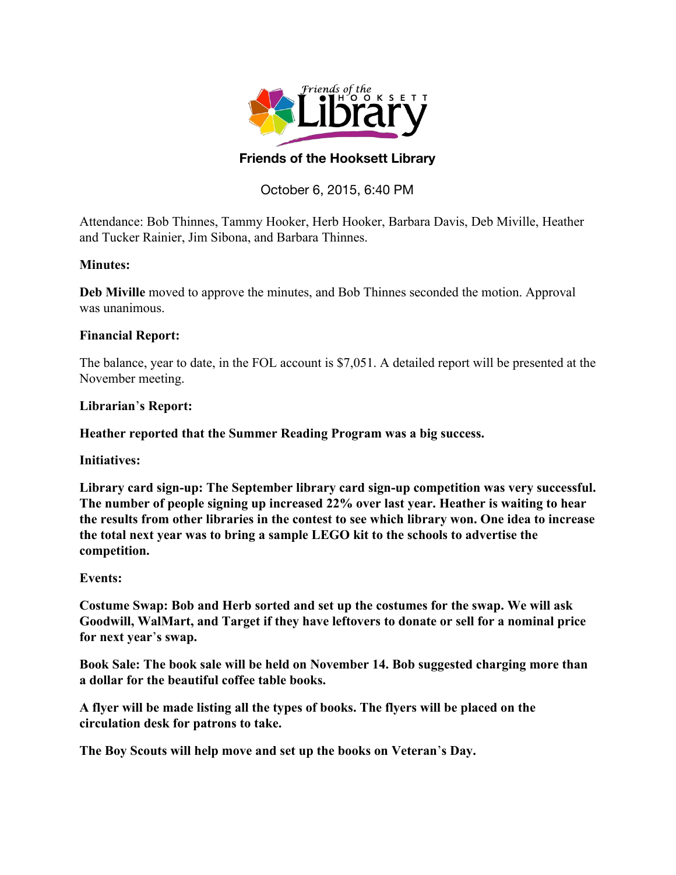

## **Friends of the Hooksett Library**

# October 6, 2015, 6:40 PM

Attendance: Bob Thinnes, Tammy Hooker, Herb Hooker, Barbara Davis, Deb Miville, Heather and Tucker Rainier, Jim Sibona, and Barbara Thinnes.

## **Minutes:**

**Deb Miville** moved to approve the minutes, and Bob Thinnes seconded the motion. Approval was unanimous.

## **Financial Report:**

The balance, year to date, in the FOL account is \$7,051. A detailed report will be presented at the November meeting.

## **Librarian**'**s Report:**

## **Heather reported that the Summer Reading Program was a big success.**

**Initiatives:**

**Library card sign-up:** The September library **card sign-up competition** was very **successful. The number of people signing up increased 22% over last year. Heather is waiting to hear the results from other libraries in the contest to see which library won. One idea to increase the total next year was to bring a sample LEGO kit to the schools to advertise the competition.**

## **Events:**

**Costume Swap: Bob and Herb sorted and set up the costumes for the swap. We will ask Goodwill, WalMart, and Target if they have leftovers to donate or sell for a nominal price for next year**'**s swap.**

**Book Sale: The book sale will be held on November 14. Bob suggested charging more than a dollar for the beautiful coffee table books.**

**A flyer will be made listing all the types of books. The flyers will be placed on the circulation desk for patrons to take.**

**The Boy Scouts will help move and set up the books on Veteran**'**s Day.**